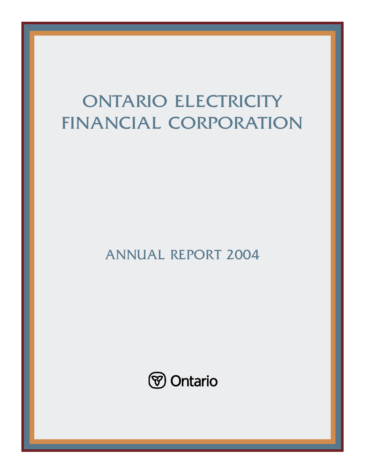# ONTARIO ELECTRICITY FINANCIAL CORPORATION

ANNUAL REPORT 2004

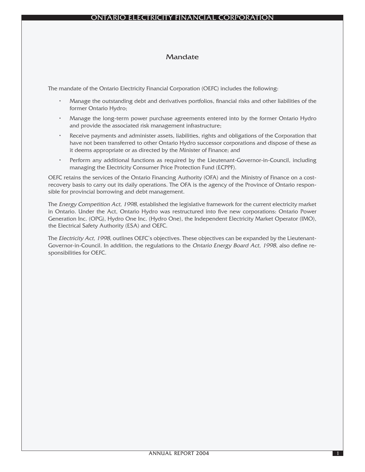## Mandate

The mandate of the Ontario Electricity Financial Corporation (OEFC) includes the following:

- Manage the outstanding debt and derivatives portfolios, financial risks and other liabilities of the former Ontario Hydro;
- Manage the long-term power purchase agreements entered into by the former Ontario Hydro and provide the associated risk management infrastructure;
- Receive payments and administer assets, liabilities, rights and obligations of the Corporation that have not been transferred to other Ontario Hydro successor corporations and dispose of these as it deems appropriate or as directed by the Minister of Finance; and
- Perform any additional functions as required by the Lieutenant-Governor-in-Council, including managing the Electricity Consumer Price Protection Fund (ECPPF).

OEFC retains the services of the Ontario Financing Authority (OFA) and the Ministry of Finance on a costrecovery basis to carry out its daily operations. The OFA is the agency of the Province of Ontario responsible for provincial borrowing and debt management.

The Energy Competition Act, 1998, established the legislative framework for the current electricity market in Ontario. Under the Act, Ontario Hydro was restructured into five new corporations: Ontario Power Generation Inc. (OPG), Hydro One Inc. (Hydro One), the Independent Electricity Market Operator (IMO), the Electrical Safety Authority (ESA) and OEFC.

The Electricity Act, 1998, outlines OEFC's objectives. These objectives can be expanded by the Lieutenant-Governor-in-Council. In addition, the regulations to the Ontario Energy Board Act, 1998, also define responsibilities for OEFC.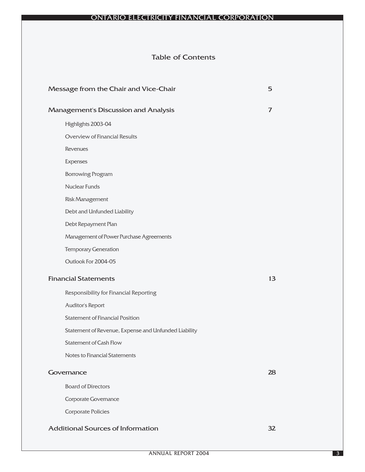# Table of Contents

| Message from the Chair and Vice-Chair                | 5  |
|------------------------------------------------------|----|
| Management's Discussion and Analysis                 | 7  |
| Highlights 2003-04                                   |    |
| Overview of Financial Results                        |    |
| <b>Revenues</b>                                      |    |
| Expenses                                             |    |
| <b>Borrowing Program</b>                             |    |
| <b>Nuclear Funds</b>                                 |    |
| <b>Risk Management</b>                               |    |
| Debt and Unfunded Liability                          |    |
| Debt Repayment Plan                                  |    |
| Management of Power Purchase Agreements              |    |
| <b>Temporary Generation</b>                          |    |
| Outlook For 2004-05                                  |    |
| <b>Financial Statements</b>                          | 13 |
| Responsibility for Financial Reporting               |    |
| Auditor's Report                                     |    |
| <b>Statement of Financial Position</b>               |    |
| Statement of Revenue, Expense and Unfunded Liability |    |
| <b>Statement of Cash Flow</b>                        |    |
| Notes to Financial Statements                        |    |
| Governance                                           | 28 |
| <b>Board of Directors</b>                            |    |
| <b>Corporate Governance</b>                          |    |
| <b>Corporate Policies</b>                            |    |
| <b>Additional Sources of Information</b>             | 32 |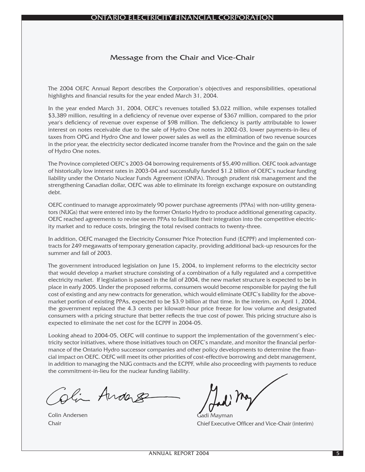## Message from the Chair and Vice-Chair

The 2004 OEFC Annual Report describes the Corporation's objectives and responsibilities, operational highlights and financial results for the year ended March 31, 2004.

In the year ended March 31, 2004, OEFC's revenues totalled \$3,022 million, while expenses totalled \$3,389 million, resulting in a deficiency of revenue over expense of \$367 million, compared to the prior year's deficiency of revenue over expense of \$98 million. The deficiency is partly attributable to lower interest on notes receivable due to the sale of Hydro One notes in 2002-03, lower payments-in-lieu of taxes from OPG and Hydro One and lower power sales as well as the elimination of two revenue sources in the prior year, the electricity sector dedicated income transfer from the Province and the gain on the sale of Hydro One notes.

The Province completed OEFC's 2003-04 borrowing requirements of \$5,490 million. OEFC took advantage of historically low interest rates in 2003-04 and successfully funded \$1.2 billion of OEFC's nuclear funding liability under the Ontario Nuclear Funds Agreement (ONFA). Through prudent risk management and the strengthening Canadian dollar, OEFC was able to eliminate its foreign exchange exposure on outstanding debt.

OEFC continued to manage approximately 90 power purchase agreements (PPAs) with non-utility generators (NUGs) that were entered into by the former Ontario Hydro to produce additional generating capacity. OEFC reached agreements to revise seven PPAs to facilitate their integration into the competitive electricity market and to reduce costs, bringing the total revised contracts to twenty-three.

In addition, OEFC managed the Electricity Consumer Price Protection Fund (ECPPF) and implemented contracts for 249 megawatts of temporary generation capacity, providing additional back-up resources for the summer and fall of 2003.

The government introduced legislation on June 15, 2004, to implement reforms to the electricity sector that would develop a market structure consisting of a combination of a fully regulated and a competitive electricity market. If legislation is passed in the fall of 2004, the new market structure is expected to be in place in early 2005. Under the proposed reforms, consumers would become responsible for paying the full cost of existing and any new contracts for generation, which would eliminate OEFC's liability for the abovemarket portion of existing PPAs, expected to be \$3.9 billion at that time. In the interim, on April 1, 2004, the government replaced the 4.3 cents per kilowatt-hour price freeze for low volume and designated consumers with a pricing structure that better reflects the true cost of power. This pricing structure also is expected to eliminate the net cost for the ECPPF in 2004-05.

Looking ahead to 2004-05, OEFC will continue to support the implementation of the government's electricity sector initiatives, where those initiatives touch on OEFC's mandate, and monitor the financial performance of the Ontario Hydro successor companies and other policy developments to determine the financial impact on OEFC. OEFC will meet its other priorities of cost-effective borrowing and debt management, in addition to managing the NUG contracts and the ECPPF, while also proceeding with payments to reduce the commitment-in-lieu for the nuclear funding liability.

Oli Anders

Colin Andersen Chair

Gadi Mayman

Chief Executive Officer and Vice-Chair (interim)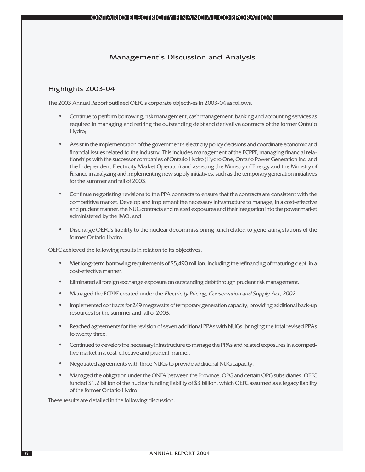## Management's Discussion and Analysis

## Highlights 2003-04

The 2003 Annual Report outlined OEFC's corporate objectives in 2003-04 as follows:

- Continue to perform borrowing, risk management, cash management, banking and accounting services as required in managing and retiring the outstanding debt and derivative contracts of the former Ontario Hydro;
- Assist in the implementation of the government's electricity policy decisions and coordinate economic and financial issues related to the industry. This includes management of the ECPPF, managing financial relationships with the successor companies of Ontario Hydro (Hydro One, Ontario Power Generation Inc. and the Independent Electricity Market Operator) and assisting the Ministry of Energy and the Ministry of Finance in analyzing and implementing new supply initiatives, such as the temporary generation initiatives for the summer and fall of 2003;
- Continue negotiating revisions to the PPA contracts to ensure that the contracts are consistent with the competitive market. Develop and implement the necessary infrastructure to manage, in a cost-effective and prudent manner, the NUG contracts and related exposures and their integration into the power market administered by the IMO; and
- Discharge OEFC's liability to the nuclear decommissioning fund related to generating stations of the former Ontario Hydro.

OEFC achieved the following results in relation to its objectives:

- Met long-term borrowing requirements of \$5,490 million, including the refinancing of maturing debt, in a cost-effective manner.
- Eliminated all foreign exchange exposure on outstanding debt through prudent risk management.
- Managed the ECPPF created under the Electricity Pricing, Conservation and Supply Act, 2002.
- Implemented contracts for 249 megawatts of temporary generation capacity, providing additional back-up resources for the summer and fall of 2003.
- Reached agreements for the revision of seven additional PPAs with NUGs, bringing the total revised PPAs to twenty-three.
- Continued to develop the necessary infrastructure to manage the PPAs and related exposures in a competitive market in a cost-effective and prudent manner.
- Negotiated agreements with three NUGs to provide additional NUG capacity.
- Managed the obligation under the ONFA between the Province, OPG and certain OPG subsidiaries. OEFC funded \$1.2 billion of the nuclear funding liability of \$3 billion, which OEFC assumed as a legacy liability of the former Ontario Hydro.

These results are detailed in the following discussion.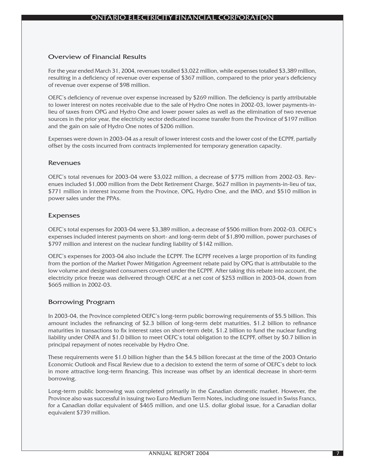## Overview of Financial Results

For the year ended March 31, 2004, revenues totalled \$3,022 million, while expenses totalled \$3,389 million, resulting in a deficiency of revenue over expense of \$367 million, compared to the prior year's deficiency of revenue over expense of \$98 million.

OEFC's deficiency of revenue over expense increased by \$269 million. The deficiency is partly attributable to lower interest on notes receivable due to the sale of Hydro One notes in 2002-03, lower payments-inlieu of taxes from OPG and Hydro One and lower power sales as well as the elimination of two revenue sources in the prior year, the electricity sector dedicated income transfer from the Province of \$197 million and the gain on sale of Hydro One notes of \$206 million.

Expenses were down in 2003-04 as a result of lower interest costs and the lower cost of the ECPPF, partially offset by the costs incurred from contracts implemented for temporary generation capacity.

## Revenues

OEFC's total revenues for 2003-04 were \$3,022 million, a decrease of \$775 million from 2002-03. Revenues included \$1,000 million from the Debt Retirement Charge, \$627 million in payments-in-lieu of tax, \$771 million in interest income from the Province, OPG, Hydro One, and the IMO, and \$510 million in power sales under the PPAs.

## Expenses

OEFC's total expenses for 2003-04 were \$3,389 million, a decrease of \$506 million from 2002-03. OEFC's expenses included interest payments on short- and long-term debt of \$1,890 million, power purchases of \$797 million and interest on the nuclear funding liability of \$142 million.

OEFC's expenses for 2003-04 also include the ECPPF. The ECPPF receives a large proportion of its funding from the portion of the Market Power Mitigation Agreement rebate paid by OPG that is attributable to the low volume and designated consumers covered under the ECPPF. After taking this rebate into account, the electricity price freeze was delivered through OEFC at a net cost of \$253 million in 2003-04, down from \$665 million in 2002-03.

## Borrowing Program

In 2003-04, the Province completed OEFC's long-term public borrowing requirements of \$5.5 billion. This amount includes the refinancing of \$2.3 billion of long-term debt maturities, \$1.2 billion to refinance maturities in transactions to fix interest rates on short-term debt, \$1.2 billion to fund the nuclear funding liability under ONFA and \$1.0 billion to meet OEFC's total obligation to the ECPPF, offset by \$0.7 billion in principal repayment of notes receivable by Hydro One.

These requirements were \$1.0 billion higher than the \$4.5 billion forecast at the time of the 2003 Ontario Economic Outlook and Fiscal Review due to a decision to extend the term of some of OEFC's debt to lock in more attractive long-term financing. This increase was offset by an identical decrease in short-term borrowing.

Long-term public borrowing was completed primarily in the Canadian domestic market. However, the Province also was successful in issuing two Euro Medium Term Notes, including one issued in Swiss Francs, for a Canadian dollar equivalent of \$465 million, and one U.S. dollar global issue, for a Canadian dollar equivalent \$739 million.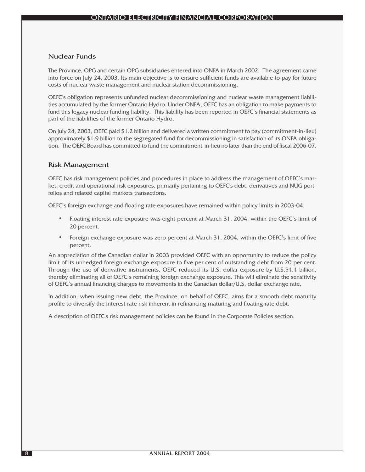## Nuclear Funds

The Province, OPG and certain OPG subsidiaries entered into ONFA in March 2002. The agreement came into force on July 24, 2003. Its main objective is to ensure sufficient funds are available to pay for future costs of nuclear waste management and nuclear station decommissioning.

OEFC's obligation represents unfunded nuclear decommissioning and nuclear waste management liabilities accumulated by the former Ontario Hydro. Under ONFA, OEFC has an obligation to make payments to fund this legacy nuclear funding liability. This liability has been reported in OEFC's financial statements as part of the liabilities of the former Ontario Hydro.

On July 24, 2003, OEFC paid \$1.2 billion and delivered a written commitment to pay (commitment-in-lieu) approximately \$1.9 billion to the segregated fund for decommissioning in satisfaction of its ONFA obligation. The OEFC Board has committed to fund the commitment-in-lieu no later than the end of fiscal 2006-07.

## Risk Management

OEFC has risk management policies and procedures in place to address the management of OEFC's market, credit and operational risk exposures, primarily pertaining to OEFC's debt, derivatives and NUG portfolios and related capital markets transactions.

OEFC's foreign exchange and floating rate exposures have remained within policy limits in 2003-04.

- Floating interest rate exposure was eight percent at March 31, 2004, within the OEFC's limit of 20 percent.
- Foreign exchange exposure was zero percent at March 31, 2004, within the OEFC's limit of five percent.

An appreciation of the Canadian dollar in 2003 provided OEFC with an opportunity to reduce the policy limit of its unhedged foreign exchange exposure to five per cent of outstanding debt from 20 per cent. Through the use of derivative instruments, OEFC reduced its U.S. dollar exposure by U.S.\$1.1 billion, thereby eliminating all of OEFC's remaining foreign exchange exposure. This will eliminate the sensitivity of OEFC's annual financing charges to movements in the Canadian dollar/U.S. dollar exchange rate.

In addition, when issuing new debt, the Province, on behalf of OEFC, aims for a smooth debt maturity profile to diversify the interest rate risk inherent in refinancing maturing and floating rate debt.

A description of OEFC's risk management policies can be found in the Corporate Policies section.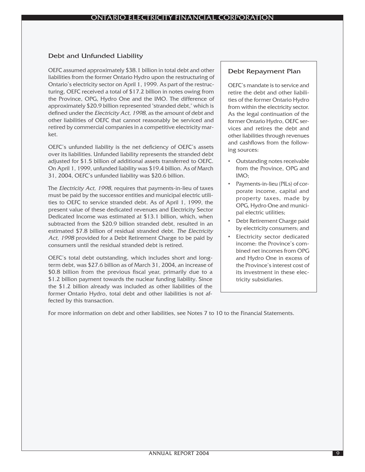## Debt and Unfunded Liability

OEFC assumed approximately \$38.1 billion in total debt and other liabilities from the former Ontario Hydro upon the restructuring of Ontario's electricity sector on April 1, 1999. As part of the restructuring, OEFC received a total of \$17.2 billion in notes owing from the Province, OPG, Hydro One and the IMO. The difference of approximately \$20.9 billion represented "stranded debt," which is defined under the *Electricity Act, 1998*, as the amount of debt and other liabilities of OEFC that cannot reasonably be serviced and retired by commercial companies in a competitive electricity market.

OEFC's unfunded liability is the net deficiency of OEFC's assets over its liabilities. Unfunded liability represents the stranded debt adjusted for \$1.5 billion of additional assets transferred to OEFC. On April 1, 1999, unfunded liability was \$19.4 billion. As of March 31, 2004, OEFC's unfunded liability was \$20.6 billion.

The Electricity Act, 1998, requires that payments-in-lieu of taxes must be paid by the successor entities and municipal electric utilities to OEFC to service stranded debt. As of April 1, 1999, the present value of these dedicated revenues and Electricity Sector Dedicated Income was estimated at \$13.1 billion, which, when subtracted from the \$20.9 billion stranded debt, resulted in an estimated \$7.8 billion of residual stranded debt. The Electricity Act, 1998 provided for a Debt Retirement Charge to be paid by consumers until the residual stranded debt is retired.

OEFC's total debt outstanding, which includes short and longterm debt, was \$27.6 billion as of March 31, 2004, an increase of \$0.8 billion from the previous fiscal year, primarily due to a \$1.2 billion payment towards the nuclear funding liability. Since the \$1.2 billion already was included as other liabilities of the former Ontario Hydro, total debt and other liabilities is not affected by this transaction.

## Debt Repayment Plan

OEFC's mandate is to service and retire the debt and other liabilities of the former Ontario Hydro from within the electricity sector. As the legal continuation of the former Ontario Hydro, OEFC services and retires the debt and other liabilities through revenues and cashflows from the following sources:

- Outstanding notes receivable from the Province, OPG and  $IMO<sub>1</sub>$
- Payments-in-lieu (PILs) of corporate income, capital and property taxes, made by OPG, Hydro One and municipal electric utilities;
- Debt Retirement Charge paid by electricity consumers; and
- Electricity sector dedicated income: the Province's combined net incomes from OPG and Hydro One in excess of the Province's interest cost of its investment in these electricity subsidiaries.

For more information on debt and other liabilities, see Notes 7 to 10 to the Financial Statements.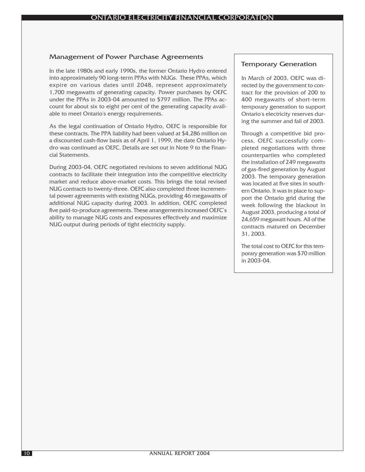## Management of Power Purchase Agreements

In the late 1980s and early 1990s, the former Ontario Hydro entered into approximately 90 long-term PPAs with NUGs. These PPAs, which expire on various dates until 2048, represent approximately 1,700 megawatts of generating capacity. Power purchases by OEFC under the PPAs in 2003-04 amounted to \$797 million. The PPAs account for about six to eight per cent of the generating capacity available to meet Ontario's energy requirements.

As the legal continuation of Ontario Hydro, OEFC is responsible for these contracts. The PPA liability had been valued at \$4,286 million on a discounted cash-flow basis as of April 1, 1999, the date Ontario Hydro was continued as OEFC. Details are set out in Note 9 to the Financial Statements.

During 2003-04, OEFC negotiated revisions to seven additional NUG contracts to facilitate their integration into the competitive electricity market and reduce above-market costs. This brings the total revised NUG contracts to twenty-three. OEFC also completed three incremental power agreements with existing NUGs, providing 46 megawatts of additional NUG capacity during 2003. In addition, OEFC completed five paid-to-produce agreements. These arrangements increased OEFC's ability to manage NUG costs and exposures effectively and maximize NUG output during periods of tight electricity supply.

## Temporary Generation

In March of 2003, OEFC was directed by the government to contract for the provision of 200 to 400 megawatts of short-term temporary generation to support Ontario's electricity reserves during the summer and fall of 2003.

Through a competitive bid process, OEFC successfully completed negotiations with three counterparties who completed the installation of 249 megawatts of gas-fired generation by August 2003. The temporary generation was located at five sites in southern Ontario. It was in place to support the Ontario grid during the week following the blackout in August 2003, producing a total of 24,659 megawatt hours. All of the contracts matured on December 31, 2003.

The total cost to OEFC for this temporary generation was \$70 million in 2003-04.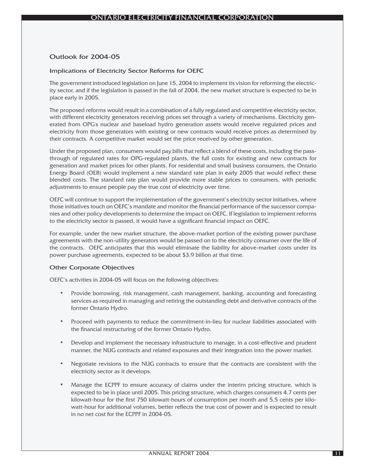## Outlook for 2004-05

#### Implications of Electricity Sector Reforms for OEFC

The government introduced legislation on June 15, 2004 to implement its vision for reforming the electricity sector, and if the legislation is passed in the fall of 2004, the new market structure is expected to be in place early in 2005.

The proposed reforms would result in a combination of a fully regulated and competitive electricity sector, with different electricity generators receiving prices set through a variety of mechanisms. Electricity generated from OPG's nuclear and baseload hydro generation assets would receive regulated prices and electricity from those generators with existing or new contracts would receive prices as determined by their contracts. A competitive market would set the price received by other generation.

Under the proposed plan, consumers would pay bills that reflect a blend of these costs, including the passthrough of regulated rates for OPG-regulated plants, the full costs for existing and new contracts for generation and market prices for other plants. For residential and small business consumers, the Ontario Energy Board (OEB) would implement a new standard rate plan in early 2005 that would reflect these blended costs. The standard rate plan would provide more stable prices to consumers, with periodic adjustments to ensure people pay the true cost of electricity over time.

OEFC will continue to support the implementation of the government's electricity sector initiatives, where those initiatives touch on OEFC's mandate and monitor the financial performance of the successor companies and other policy developments to determine the impact on OEFC. If legislation to implement reforms to the electricity sector is passed, it would have a significant financial impact on OEFC.

For example, under the new market structure, the above-market portion of the existing power purchase agreements with the non-utility generators would be passed on to the electricity consumer over the life of the contracts. OEFC anticipates that this would eliminate the liability for above-market costs under its power purchase agreements, expected to be about \$3.9 billion at that time.

#### Other Corporate Objectives

OEFC's activities in 2004-05 will focus on the following objectives:

- Provide borrowing, risk management, cash management, banking, accounting and forecasting services as required in managing and retiring the outstanding debt and derivative contracts of the former Ontario Hydro.
- Proceed with payments to reduce the commitment-in-lieu for nuclear liabilities associated with the financial restructuring of the former Ontario Hydro.
- Develop and implement the necessary infrastructure to manage, in a cost-effective and prudent manner, the NUG contracts and related exposures and their integration into the power market.
- Negotiate revisions to the NUG contracts to ensure that the contracts are consistent with the electricity sector as it develops.
- Manage the ECPPF to ensure accuracy of claims under the interim pricing structure, which is expected to be in place until 2005. This pricing structure, which charges consumers 4.7 cents per kilowatt-hour for the first 750 kilowatt-hours of consumption per month and 5.5 cents per kilowatt-hour for additional volumes, better reflects the true cost of power and is expected to result in no net cost for the ECPPF in 2004-05.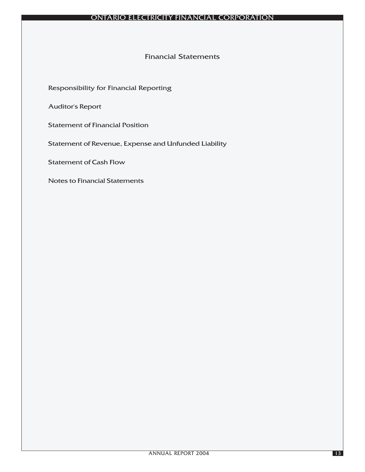## Financial Statements

Responsibility for Financial Reporting

Auditor's Report

Statement of Financial Position

Statement of Revenue, Expense and Unfunded Liability

Statement of Cash Flow

Notes to Financial Statements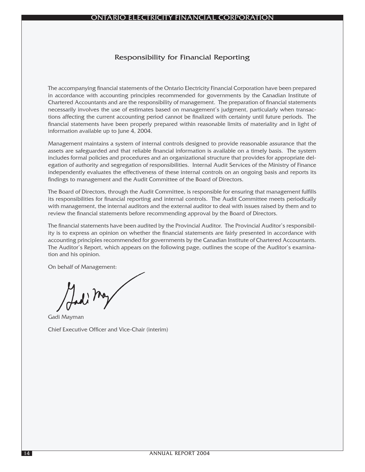## Responsibility for Financial Reporting

The accompanying financial statements of the Ontario Electricity Financial Corporation have been prepared in accordance with accounting principles recommended for governments by the Canadian Institute of Chartered Accountants and are the responsibility of management. The preparation of financial statements necessarily involves the use of estimates based on management's judgment, particularly when transactions affecting the current accounting period cannot be finalized with certainty until future periods. The financial statements have been properly prepared within reasonable limits of materiality and in light of information available up to June 4, 2004.

Management maintains a system of internal controls designed to provide reasonable assurance that the assets are safeguarded and that reliable financial information is available on a timely basis. The system includes formal policies and procedures and an organizational structure that provides for appropriate delegation of authority and segregation of responsibilities. Internal Audit Services of the Ministry of Finance independently evaluates the effectiveness of these internal controls on an ongoing basis and reports its findings to management and the Audit Committee of the Board of Directors.

The Board of Directors, through the Audit Committee, is responsible for ensuring that management fulfills its responsibilities for financial reporting and internal controls. The Audit Committee meets periodically with management, the internal auditors and the external auditor to deal with issues raised by them and to review the financial statements before recommending approval by the Board of Directors.

The financial statements have been audited by the Provincial Auditor. The Provincial Auditor's responsibility is to express an opinion on whether the financial statements are fairly presented in accordance with accounting principles recommended for governments by the Canadian Institute of Chartered Accountants. The Auditor's Report, which appears on the following page, outlines the scope of the Auditor's examination and his opinion.

On behalf of Management:

Gadi Ma

Gadi Mayman Chief Executive Officer and Vice-Chair (interim)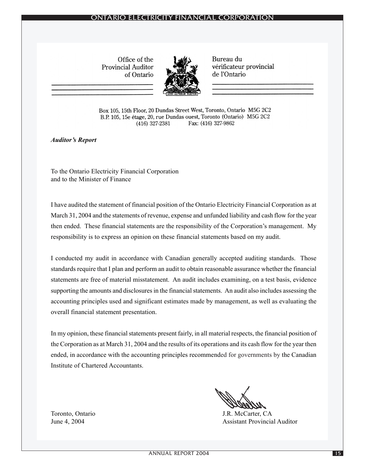## TARIO ELECTRICITY FINANCIAL CORPORATION

Office of the **Provincial Auditor** of Ontario



Bureau du vérificateur provincial de l'Ontario

Box 105, 15th Floor, 20 Dundas Street West, Toronto, Ontario M5G 2C2 B.P. 105, 15e étage, 20, rue Dundas ouest, Toronto (Ontario) M5G 2C2 Fax: (416) 327-9862  $(416)$  327-2381

*Auditor's Report*

To the Ontario Electricity Financial Corporation and to the Minister of Finance

I have audited the statement of financial position of the Ontario Electricity Financial Corporation as at March 31, 2004 and the statements of revenue, expense and unfunded liability and cash flow for the year then ended. These financial statements are the responsibility of the Corporation's management. My responsibility is to express an opinion on these financial statements based on my audit.

I conducted my audit in accordance with Canadian generally accepted auditing standards. Those standards require that I plan and perform an audit to obtain reasonable assurance whether the financial statements are free of material misstatement. An audit includes examining, on a test basis, evidence supporting the amounts and disclosures in the financial statements. An audit also includes assessing the accounting principles used and significant estimates made by management, as well as evaluating the overall financial statement presentation.

In my opinion, these financial statements present fairly, in all material respects, the financial position of the Corporation as at March 31, 2004 and the results of its operations and its cash flow for the year then ended, in accordance with the accounting principles recommended for governments by the Canadian Institute of Chartered Accountants.

Toronto, Ontario J.R. McCarter, CA June 4, 2004 **Assistant Provincial Auditor** Assistant Provincial Auditor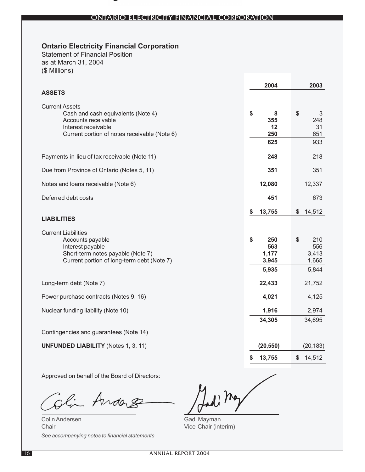## ONTARIO ELECTRICITY FINANCIAL CORPORATION

# **Ontario Electricity Financial Corporation**

Statement of Financial Position as at March 31, 2004 (\$ Millions)

|                                                                                                                                                           | 2004                                        | 2003                                          |
|-----------------------------------------------------------------------------------------------------------------------------------------------------------|---------------------------------------------|-----------------------------------------------|
| <b>ASSETS</b>                                                                                                                                             |                                             |                                               |
| <b>Current Assets</b><br>Cash and cash equivalents (Note 4)<br>Accounts receivable<br>Interest receivable<br>Current portion of notes receivable (Note 6) | \$<br>8<br>355<br>12<br>250<br>625          | $\frac{1}{2}$<br>3<br>248<br>31<br>651<br>933 |
| Payments-in-lieu of tax receivable (Note 11)                                                                                                              | 248                                         | 218                                           |
| Due from Province of Ontario (Notes 5, 11)                                                                                                                | 351                                         | 351                                           |
| Notes and loans receivable (Note 6)                                                                                                                       | 12,080                                      | 12,337                                        |
| Deferred debt costs                                                                                                                                       | 451                                         | 673                                           |
| <b>LIABILITIES</b>                                                                                                                                        | \$<br>13,755                                | \$<br>14,512                                  |
| <b>Current Liabilities</b><br>Accounts payable<br>Interest payable<br>Short-term notes payable (Note 7)<br>Current portion of long-term debt (Note 7)     | \$<br>250<br>563<br>1,177<br>3,945<br>5,935 | \$<br>210<br>556<br>3,413<br>1,665<br>5,844   |
| Long-term debt (Note 7)                                                                                                                                   | 22,433                                      | 21,752                                        |
| Power purchase contracts (Notes 9, 16)                                                                                                                    | 4,021                                       | 4,125                                         |
| Nuclear funding liability (Note 10)                                                                                                                       | 1,916                                       | 2,974                                         |
|                                                                                                                                                           | 34,305                                      | 34,695                                        |
| Contingencies and guarantees (Note 14)                                                                                                                    |                                             |                                               |
| <b>UNFUNDED LIABILITY (Notes 1, 3, 11)</b>                                                                                                                | (20, 550)                                   | (20, 183)                                     |
|                                                                                                                                                           | \$<br>13,755                                | \$<br>14,512                                  |

Approved on behalf of the Board of Directors:

Andas r<br>M.

Colin Andersen **Chair** *See accompanying notes to financial statements*

Ladi May

Gadi Mayman Vice-Chair (interim)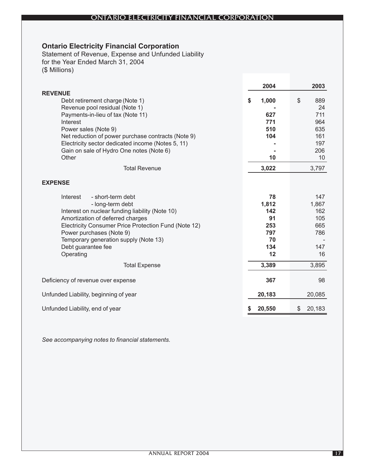## ONTARIO ELECTRICITY FINANCIAL CORPORATION

# **Ontario Electricity Financial Corporation**

Statement of Revenue, Expense and Unfunded Liability for the Year Ended March 31, 2004 (\$ Millions)

|                                                                   | 2004         | 2003         |                 |
|-------------------------------------------------------------------|--------------|--------------|-----------------|
| <b>REVENUE</b>                                                    | \$<br>1,000  | \$           | 889             |
| Debt retirement charge (Note 1)<br>Revenue pool residual (Note 1) |              |              | 24              |
| Payments-in-lieu of tax (Note 11)                                 | 627          |              | 711             |
| Interest                                                          | 771          |              | 964             |
| Power sales (Note 9)                                              | 510          |              | 635             |
| Net reduction of power purchase contracts (Note 9)                | 104          |              | 161             |
| Electricity sector dedicated income (Notes 5, 11)                 |              |              | 197             |
| Gain on sale of Hydro One notes (Note 6)                          |              |              | 206             |
| Other                                                             | 10           |              | 10 <sup>°</sup> |
| <b>Total Revenue</b>                                              | 3,022        | 3,797        |                 |
| <b>EXPENSE</b>                                                    |              |              |                 |
| Interest<br>- short-term debt                                     | 78           |              | 147             |
| - long-term debt                                                  | 1,812        | 1,867        |                 |
| Interest on nuclear funding liability (Note 10)                   | 142          |              | 162             |
| Amortization of deferred charges                                  | 91           |              | 105             |
| Electricity Consumer Price Protection Fund (Note 12)              | 253          |              | 665             |
| Power purchases (Note 9)                                          | 797          |              | 786             |
| Temporary generation supply (Note 13)                             | 70           |              |                 |
| Debt guarantee fee                                                | 134          |              | 147             |
| Operating                                                         | 12           |              | 16              |
| <b>Total Expense</b>                                              | 3,389        | 3,895        |                 |
| Deficiency of revenue over expense                                | 367          |              | 98              |
| Unfunded Liability, beginning of year                             | 20,183       | 20,085       |                 |
| Unfunded Liability, end of year                                   | \$<br>20,550 | 20,183<br>\$ |                 |

*See accompanying notes to financial statements.*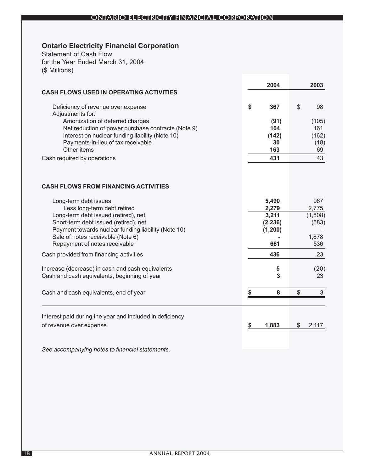## **Ontario Electricity Financial Corporation**

Statement of Cash Flow for the Year Ended March 31, 2004 (\$ Millions)

|                                                                               |    | 2004              |               | 2003                      |
|-------------------------------------------------------------------------------|----|-------------------|---------------|---------------------------|
| <b>CASH FLOWS USED IN OPERATING ACTIVITIES</b>                                |    |                   |               |                           |
| Deficiency of revenue over expense<br>Adjustments for:                        | \$ | 367               | \$            | 98                        |
| Amortization of deferred charges                                              |    | (91)              |               | (105)                     |
| Net reduction of power purchase contracts (Note 9)                            |    | 104               |               | 161                       |
| Interest on nuclear funding liability (Note 10)                               |    | (142)             |               | (162)                     |
| Payments-in-lieu of tax receivable                                            |    | 30                |               | (18)                      |
| Other items                                                                   |    | 163               |               | 69                        |
| Cash required by operations                                                   |    | 431               |               | 43                        |
| <b>CASH FLOWS FROM FINANCING ACTIVITIES</b>                                   |    |                   |               |                           |
| Long-term debt issues                                                         |    | 5,490             |               | 967                       |
| Less long-term debt retired                                                   |    | 2,279             |               | 2,775                     |
| Long-term debt issued (retired), net<br>Short-term debt issued (retired), net |    | 3,211<br>(2, 236) |               | (1,808)<br>(583)          |
| Payment towards nuclear funding liability (Note 10)                           |    | (1,200)           |               |                           |
| Sale of notes receivable (Note 6)                                             |    |                   |               | 1,878                     |
| Repayment of notes receivable                                                 |    | 661               |               | 536                       |
| Cash provided from financing activities                                       |    | 436               |               | 23                        |
| Increase (decrease) in cash and cash equivalents                              |    | 5                 |               | (20)                      |
| Cash and cash equivalents, beginning of year                                  |    | 3                 |               | 23                        |
|                                                                               |    |                   |               |                           |
| Cash and cash equivalents, end of year                                        | \$ | 8                 | $\frac{1}{2}$ | $\ensuremath{\mathsf{3}}$ |
|                                                                               |    |                   |               |                           |
| Interest paid during the year and included in deficiency                      |    |                   |               |                           |
| of revenue over expense                                                       | S  | 1,883             | \$            | 2,117                     |
|                                                                               |    |                   |               |                           |
| See accompanying notes to financial statements.                               |    |                   |               |                           |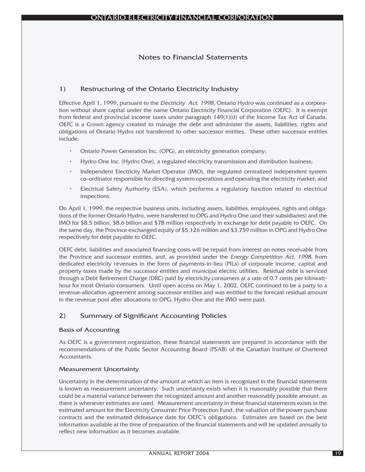## Notes to Financial Statements

## 1) Restructuring of the Ontario Electricity Industry

Effective April 1, 1999, pursuant to the Electricity Act, 1998, Ontario Hydro was continued as a corporation without share capital under the name Ontario Electricity Financial Corporation (OEFC). It is exempt from federal and provincial income taxes under paragraph 149(1)(d) of the Income Tax Act of Canada. OEFC is a Crown agency created to manage the debt and administer the assets, liabilities, rights and obligations of Ontario Hydro not transferred to other successor entities. These other successor entities include:

- Ontario Power Generation Inc. (OPG), an electricity generation company;
- Hydro One Inc. (Hydro One), a regulated electricity transmission and distribution business;
- Independent Electricity Market Operator (IMO), the regulated centralized independent system co-ordinator responsible for directing system operations and operating the electricity market; and
- Electrical Safety Authority (ESA), which performs a regulatory function related to electrical inspections.

On April 1, 1999, the respective business units, including assets, liabilities, employees, rights and obligations of the former Ontario Hydro, were transferred to OPG and Hydro One (and their subsidiaries) and the IMO for \$8.5 billion, \$8.6 billion and \$78 million respectively in exchange for debt payable to OEFC. On the same day, the Province exchanged equity of \$5,126 million and \$3,759 million in OPG and Hydro One respectively for debt payable to OEFC.

OEFC debt, liabilities and associated financing costs will be repaid from interest on notes receivable from the Province and successor entities, and, as provided under the *Energy Competition Act, 1998*, from dedicated electricity revenues in the form of payments-in-lieu (PILs) of corporate income, capital and property taxes made by the successor entities and municipal electric utilities. Residual debt is serviced through a Debt Retirement Charge (DRC) paid by electricity consumers at a rate of 0.7 cents per kilowatthour for most Ontario consumers. Until open access on May 1, 2002, OEFC continued to be a party to a revenue-allocation agreement among successor entities and was entitled to the forecast residual amount in the revenue pool after allocations to OPG, Hydro One and the IMO were paid.

## 2) Summary of Significant Accounting Policies

## Basis of Accounting

As OEFC is a government organization, these financial statements are prepared in accordance with the recommendations of the Public Sector Accounting Board (PSAB) of the Canadian Institute of Chartered Accountants.

## Measurement Uncertainty

Uncertainty in the determination of the amount at which an item is recognized in the financial statements is known as measurement uncertainty. Such uncertainty exists when it is reasonably possible that there could be a material variance between the recognized amount and another reasonably possible amount, as there is whenever estimates are used. Measurement uncertainty in these financial statements exists in the estimated amount for the Electricity Consumer Price Protection Fund, the valuation of the power purchase contracts and the estimated defeasance date for OEFC's obligations. Estimates are based on the best information available at the time of preparation of the financial statements and will be updated annually to reflect new information as it becomes available.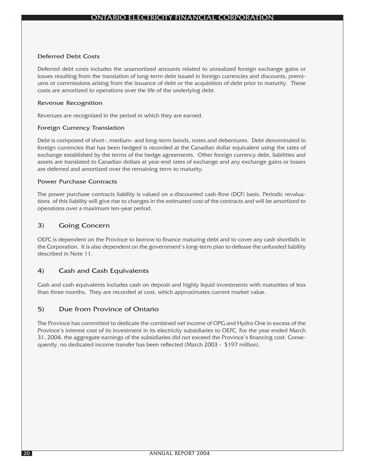#### Deferred Debt Costs

Deferred debt costs includes the unamortized amounts related to unrealized foreign exchange gains or losses resulting from the translation of long-term debt issued in foreign currencies and discounts, premiums or commissions arising from the issuance of debt or the acquisition of debt prior to maturity. These costs are amortized to operations over the life of the underlying debt.

#### Revenue Recognition

Revenues are recognized in the period in which they are earned.

## Foreign Currency Translation

Debt is composed of short-, medium- and long-term bonds, notes and debentures. Debt denominated in foreign currencies that has been hedged is recorded at the Canadian dollar equivalent using the rates of exchange established by the terms of the hedge agreements. Other foreign currency debt, liabilities and assets are translated to Canadian dollars at year-end rates of exchange and any exchange gains or losses are deferred and amortized over the remaining term to maturity.

#### Power Purchase Contracts

The power purchase contracts liability is valued on a discounted cash-flow (DCF) basis. Periodic revaluations of this liability will give rise to changes in the estimated cost of the contracts and will be amortized to operations over a maximum ten-year period.

## 3) Going Concern

OEFC is dependent on the Province to borrow to finance maturing debt and to cover any cash shortfalls in the Corporation. It is also dependent on the government's long-term plan to defease the unfunded liability described in Note 11.

## 4) Cash and Cash Equivalents

Cash and cash equivalents includes cash on deposit and highly liquid investments with maturities of less than three months. They are recorded at cost, which approximates current market value.

## 5) Due from Province of Ontario

The Province has committed to dedicate the combined net income of OPG and Hydro One in excess of the Province's interest cost of its investment in its electricity subsidiaries to OEFC. For the year ended March 31, 2004, the aggregate earnings of the subsidiaries did not exceed the Province's financing cost. Consequently, no dedicated income transfer has been reflected (March 2003 - \$197 million).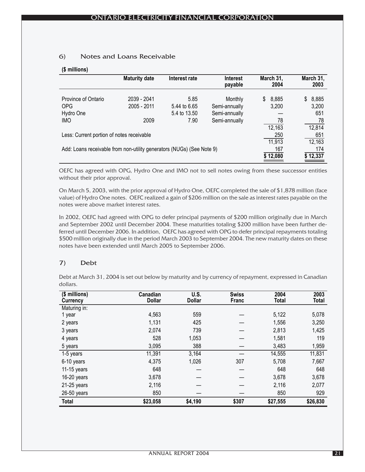## 6) Notes and Loans Receivable

#### **(\$ millions)**

| <b>Maturity date</b>                      | Interest rate       | <b>Interest</b><br>payable | March 31,<br>2004                                                                                       | March 31,<br>2003       |
|-------------------------------------------|---------------------|----------------------------|---------------------------------------------------------------------------------------------------------|-------------------------|
| 2039 - 2041                               | 5.85                | Monthly                    | 8,885<br>S.                                                                                             | 8,885<br>S.             |
|                                           | 5.4 to 13.50        | Semi-annually              |                                                                                                         | 3,200<br>651            |
|                                           |                     |                            | 12,163                                                                                                  | 78<br>12,814            |
| Less: Current portion of notes receivable |                     |                            | 250<br>11,913                                                                                           | 651<br>12,163           |
|                                           |                     |                            | 167                                                                                                     | 174<br>\$12,337         |
|                                           | 2005 - 2011<br>2009 | 5.44 to 6.65<br>7.90       | Semi-annually<br>Semi-annually<br>Add: Loans receivable from non-utility generators (NUGs) (See Note 9) | 3,200<br>78<br>\$12,080 |

OEFC has agreed with OPG, Hydro One and IMO not to sell notes owing from these successor entities without their prior approval.

On March 5, 2003, with the prior approval of Hydro One, OEFC completed the sale of \$1,878 million (face value) of Hydro One notes. OEFC realized a gain of \$206 million on the sale as interest rates payable on the notes were above market interest rates.

In 2002, OEFC had agreed with OPG to defer principal payments of \$200 million originally due in March and September 2002 until December 2004. These maturities totaling \$200 million have been further deferred until December 2006. In addition, OEFC has agreed with OPG to defer principal repayments totaling \$500 million originally due in the period March 2003 to September 2004. The new maturity dates on these notes have been extended until March 2005 to September 2006.

## 7) Debt

Debt at March 31, 2004 is set out below by maturity and by currency of repayment, expressed in Canadian dollars.

| (\$ millions)<br>Currency | Canadian<br><b>Dollar</b> | U.S.<br><b>Dollar</b> | <b>Swiss</b><br>Franc | 2004<br><b>Total</b> | 2003<br><b>Total</b> |
|---------------------------|---------------------------|-----------------------|-----------------------|----------------------|----------------------|
| Maturing in:              |                           |                       |                       |                      |                      |
| 1 year                    | 4,563                     | 559                   |                       | 5,122                | 5,078                |
| 2 years                   | 1,131                     | 425                   |                       | 1,556                | 3,250                |
| 3 years                   | 2,074                     | 739                   |                       | 2,813                | 1,425                |
| 4 years                   | 528                       | 1,053                 |                       | 1,581                | 119                  |
| 5 years                   | 3,095                     | 388                   |                       | 3,483                | 1,959                |
| 1-5 years                 | 11,391                    | 3,164                 |                       | 14,555               | 11,831               |
| 6-10 years                | 4,375                     | 1,026                 | 307                   | 5,708                | 7,667                |
| 11-15 years               | 648                       |                       |                       | 648                  | 648                  |
| $16-20$ years             | 3,678                     |                       |                       | 3,678                | 3,678                |
| 21-25 years               | 2,116                     |                       |                       | 2,116                | 2,077                |
| 26-50 years               | 850                       |                       |                       | 850                  | 929                  |
| <b>Total</b>              | \$23,058                  | \$4,190               | \$307                 | \$27,555             | \$26,830             |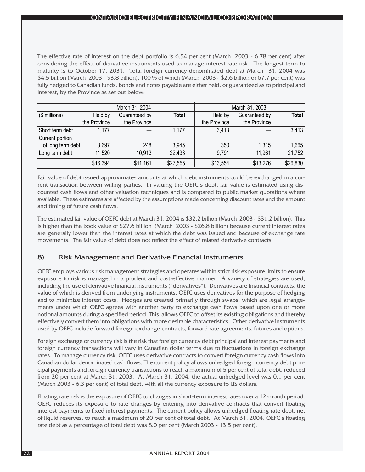The effective rate of interest on the debt portfolio is 6.54 per cent (March 2003 - 6.78 per cent) after considering the effect of derivative instruments used to manage interest rate risk. The longest term to maturity is to October 17, 2031. Total foreign currency-denominated debt at March 31, 2004 was \$4.5 billion (March 2003 - \$3.8 billion), 100 % of which (March 2003 - \$2.6 billion or 67.7 per cent) was fully hedged to Canadian funds. Bonds and notes payable are either held, or guaranteed as to principal and interest, by the Province as set out below:

|                   |              | March 31, 2004 |          |              | March 31, 2003 |              |
|-------------------|--------------|----------------|----------|--------------|----------------|--------------|
| $($$ millions)    | Held by      | Guaranteed by  | Total    | Held by      | Guaranteed by  | <b>Total</b> |
|                   | the Province | the Province   |          | the Province | the Province   |              |
| Short term debt   | 1.177        |                | 1,177    | 3,413        |                | 3,413        |
| Current portion   |              |                |          |              |                |              |
| of long term debt | 3,697        | 248            | 3,945    | 350          | 1,315          | 1,665        |
| Long term debt    | 11,520       | 10,913         | 22,433   | 9,791        | 11,961         | 21,752       |
|                   | \$16,394     | \$11,161       | \$27,555 | \$13,554     | \$13,276       | \$26,830     |

Fair value of debt issued approximates amounts at which debt instruments could be exchanged in a current transaction between willing parties. In valuing the OEFC's debt, fair value is estimated using discounted cash flows and other valuation techniques and is compared to public market quotations where available. These estimates are affected by the assumptions made concerning discount rates and the amount and timing of future cash flows.

The estimated fair value of OEFC debt at March 31, 2004 is \$32.2 billion (March 2003 - \$31.2 billion). This is higher than the book value of \$27.6 billion (March 2003 - \$26.8 billion) because current interest rates are generally lower than the interest rates at which the debt was issued and because of exchange rate movements. The fair value of debt does not reflect the effect of related derivative contracts.

## 8) Risk Management and Derivative Financial Instruments

OEFC employs various risk management strategies and operates within strict risk exposure limits to ensure exposure to risk is managed in a prudent and cost-effective manner. A variety of strategies are used, including the use of derivative financial instruments ("derivatives"). Derivatives are financial contracts, the value of which is derived from underlying instruments. OEFC uses derivatives for the purpose of hedging and to minimize interest costs. Hedges are created primarily through swaps, which are legal arrangements under which OEFC agrees with another party to exchange cash flows based upon one or more notional amounts during a specified period. This allows OEFC to offset its existing obligations and thereby effectively convert them into obligations with more desirable characteristics. Other derivative instruments used by OEFC include forward foreign exchange contracts, forward rate agreements, futures and options.

Foreign exchange or currency risk is the risk that foreign currency debt principal and interest payments and foreign currency transactions will vary in Canadian dollar terms due to fluctuations in foreign exchange rates. To manage currency risk, OEFC uses derivative contracts to convert foreign currency cash flows into Canadian dollar denominated cash flows. The current policy allows unhedged foreign currency debt principal payments and foreign currency transactions to reach a maximum of 5 per cent of total debt, reduced from 20 per cent at March 31, 2003. At March 31, 2004, the actual unhedged level was 0.1 per cent (March 2003 - 6.3 per cent) of total debt, with all the currency exposure to US dollars.

Floating rate risk is the exposure of OEFC to changes in short-term interest rates over a 12-month period. OEFC reduces its exposure to rate changes by entering into derivative contracts that convert floating interest payments to fixed interest payments. The current policy allows unhedged floating rate debt, net of liquid reserves, to reach a maximum of 20 per cent of total debt. At March 31, 2004, OEFC's floating rate debt as a percentage of total debt was 8.0 per cent (March 2003 - 13.5 per cent).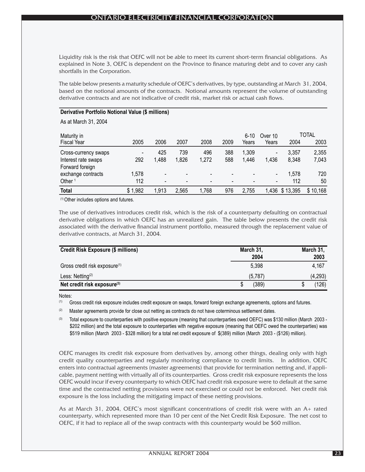Liquidity risk is the risk that OEFC will not be able to meet its current short-term financial obligations. As explained in Note 3, OEFC is dependent on the Province to finance maturing debt and to cover any cash shortfalls in the Corporation.

The table below presents a maturity schedule of OEFC's derivatives, by type, outstanding at March 31, 2004, based on the notional amounts of the contracts. Notional amounts represent the volume of outstanding derivative contracts and are not indicative of credit risk, market risk or actual cash flows.

#### **Derivative Portfolio Notional Value (\$ millions)**

As at March 31, 2004

| Maturity in          |         |                          |                          |       |      | $6 - 10$ | Over 10                  |                | TOTAL    |
|----------------------|---------|--------------------------|--------------------------|-------|------|----------|--------------------------|----------------|----------|
| <b>Fiscal Year</b>   | 2005    | 2006                     | 2007                     | 2008  | 2009 | Years    | Years                    | 2004           | 2003     |
| Cross-currency swaps |         | 425                      | 739                      | 496   | 388  | 1,309    | $\overline{\phantom{a}}$ | 3,357          | 2,355    |
| Interest rate swaps  | 292     | 1,488                    | 1,826                    | 1,272 | 588  | 1,446    | 1,436                    | 8,348          | 7,043    |
| Forward foreign      |         |                          |                          |       |      |          |                          |                |          |
| exchange contracts   | 1,578   | -                        | $\overline{\phantom{a}}$ |       |      |          | $\overline{\phantom{a}}$ | 1,578          | 720      |
| Other <sup>1</sup>   | 112     | $\overline{\phantom{0}}$ | $\overline{\phantom{a}}$ | -     |      |          | $\overline{\phantom{a}}$ | 112            | 50       |
| <b>Total</b>         | \$1,982 | 1,913                    | 2,565                    | 1,768 | 976  | 2,755    |                          | 1,436 \$13,395 | \$10,168 |

(1) Other includes options and futures.

The use of derivatives introduces credit risk, which is the risk of a counterparty defaulting on contractual derivative obligations in which OEFC has an unrealized gain. The table below presents the credit risk associated with the derivative financial instrument portfolio, measured through the replacement value of derivative contracts, at March 31, 2004.

| <b>Credit Risk Exposure (\$ millions)</b> | March 31, | March 31, |
|-------------------------------------------|-----------|-----------|
|                                           | 2004      | 2003      |
| Gross credit risk exposure <sup>(1)</sup> | 5,398     | 4,167     |
| Less: Netting <sup>(2)</sup>              | (5.787)   | (4, 293)  |
| Net credit risk exposure <sup>(3)</sup>   | (389)     | (126)     |

Notes:

(1) Gross credit risk exposure includes credit exposure on swaps, forward foreign exchange agreements, options and futures.

<sup>(2)</sup> Master agreements provide for close out netting as contracts do not have coterminous settlement dates.

Total exposure to counterparties with positive exposure (meaning that counterparties owed OEFC) was \$130 million (March 2003 -\$202 million) and the total exposure to counterparties with negative exposure (meaning that OEFC owed the counterparties) was \$519 million (March 2003 - \$328 million) for a total net credit exposure of \$(389) million (March 2003 - (\$126) million).

OEFC manages its credit risk exposure from derivatives by, among other things, dealing only with high credit quality counterparties and regularly monitoring compliance to credit limits. In addition, OEFC enters into contractual agreements (master agreements) that provide for termination netting and, if applicable, payment netting with virtually all of its counterparties. Gross credit risk exposure represents the loss OEFC would incur if every counterparty to which OEFC had credit risk exposure were to default at the same time and the contracted netting provisions were not exercised or could not be enforced. Net credit risk exposure is the loss including the mitigating impact of these netting provisions.

As at March 31, 2004, OEFC's most significant concentrations of credit risk were with an A+ rated counterparty, which represented more than 10 per cent of the Net Credit Risk Exposure. The net cost to OEFC, if it had to replace all of the swap contracts with this counterparty would be \$60 million.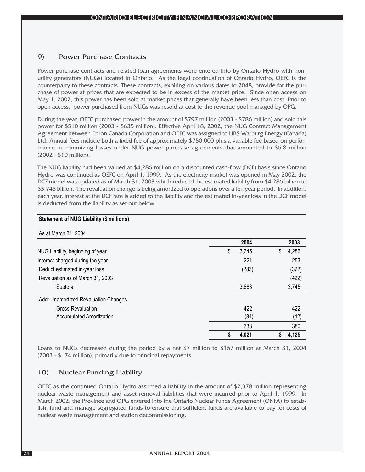## 9) Power Purchase Contracts

Power purchase contracts and related loan agreements were entered into by Ontario Hydro with nonutility generators (NUGs) located in Ontario. As the legal continuation of Ontario Hydro, OEFC is the counterparty to these contracts. These contracts, expiring on various dates to 2048, provide for the purchase of power at prices that are expected to be in excess of the market price. Since open access on May 1, 2002, this power has been sold at market prices that generally have been less than cost. Prior to open access, power purchased from NUGs was resold at cost to the revenue pool managed by OPG.

During the year, OEFC purchased power in the amount of \$797 million (2003 - \$786 million) and sold this power for \$510 million (2003 - \$635 million). Effective April 18, 2002, the NUG Contract Management Agreement between Enron Canada Corporation and OEFC was assigned to UBS Warburg Energy (Canada) Ltd. Annual fees include both a fixed fee of approximately \$750,000 plus a variable fee based on performance in minimizing losses under NUG power purchase agreements that amounted to \$6.8 million (2002 - \$10 million).

The NUG liability had been valued at \$4,286 million on a discounted cash-flow (DCF) basis since Ontario Hydro was continued as OEFC on April 1, 1999. As the electricity market was opened in May 2002, the DCF model was updated as of March 31, 2003 which reduced the estimated liability from \$4.286 billion to \$3.745 billion. The revaluation change is being amortized to operations over a ten year period. In addition, each year, interest at the DCF rate is added to the liability and the estimated in-year loss in the DCF model is deducted from the liability as set out below:

| As at March 31, 2004                 |             |             |
|--------------------------------------|-------------|-------------|
|                                      | 2004        | 2003        |
| NUG Liability, beginning of year     | 3,745<br>\$ | 4,286<br>\$ |
| Interest charged during the year     | 221         | 253         |
| Deduct estimated in-year loss        | (283)       | (372)       |
| Revaluation as of March 31, 2003     |             | (422)       |
| Subtotal                             | 3,683       | 3,745       |
| Add: Unamortized Revaluation Changes |             |             |
| <b>Gross Revaluation</b>             | 422         | 422         |
| Accumulated Amortization             | (84)        | (42)        |
|                                      | 338         | 380         |
|                                      | 4,021<br>S  | 4,125       |

#### **Statement of NUG Liability (\$ millions)**

Loans to NUGs decreased during the period by a net \$7 million to \$167 million at March 31, 2004 (2003 - \$174 million), primarily due to principal repayments.

## 10) Nuclear Funding Liability

OEFC as the continued Ontario Hydro assumed a liability in the amount of \$2,378 million representing nuclear waste management and asset removal liabilities that were incurred prior to April 1, 1999. In March 2002, the Province and OPG entered into the Ontario Nuclear Funds Agreement (ONFA) to establish, fund and manage segregated funds to ensure that sufficient funds are available to pay for costs of nuclear waste management and station decommissioning.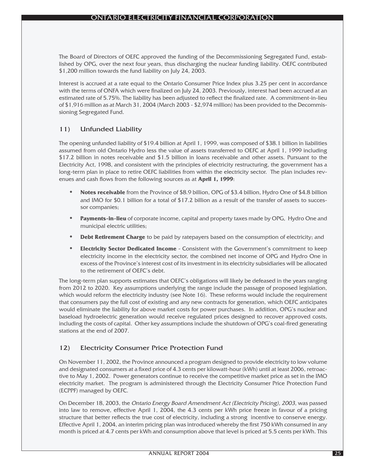The Board of Directors of OEFC approved the funding of the Decommissioning Segregated Fund, established by OPG, over the next four years, thus discharging the nuclear funding liability. OEFC contributed \$1,200 million towards the fund liability on July 24, 2003.

Interest is accrued at a rate equal to the Ontario Consumer Price Index plus 3.25 per cent in accordance with the terms of ONFA which were finalized on July 24, 2003. Previously, interest had been accrued at an estimated rate of 5.75%. The liability has been adjusted to reflect the finalized rate. A commitment-in-lieu of \$1,916 million as at March 31, 2004 (March 2003 - \$2,974 million) has been provided to the Decommissioning Segregated Fund.

## 11) Unfunded Liability

The opening unfunded liability of \$19.4 billion at April 1, 1999, was composed of \$38.1 billion in liabilities assumed from old Ontario Hydro less the value of assets transferred to OEFC at April 1, 1999 including \$17.2 billion in notes receivable and \$1.5 billion in loans receivable and other assets. Pursuant to the Electricity Act, 1998, and consistent with the principles of electricity restructuring, the government has a long-term plan in place to retire OEFC liabilities from within the electricity sector. The plan includes revenues and cash flows from the following sources as at **April 1, 1999**:

- **• Notes receivable** from the Province of \$8.9 billion, OPG of \$3.4 billion, Hydro One of \$4.8 billion and IMO for \$0.1 billion for a total of \$17.2 billion as a result of the transfer of assets to successor companies;
- **• Payments-in-lieu** of corporate income, capital and property taxes made by OPG, Hydro One and municipal electric utilities;
- **Debt Retirement Charge** to be paid by ratepayers based on the consumption of electricity; and
- **• Electricity Sector Dedicated Income** Consistent with the Government's commitment to keep electricity income in the electricity sector, the combined net income of OPG and Hydro One in excess of the Province's interest cost of its investment in its electricity subsidiaries will be allocated to the retirement of OEFC's debt.

The long-term plan supports estimates that OEFC's obligations will likely be defeased in the years ranging from 2012 to 2020. Key assumptions underlying the range include the passage of proposed legislation, which would reform the electricity industry (see Note 16). These reforms would include the requirement that consumers pay the full cost of existing and any new contracts for generation, which OEFC anticipates would eliminate the liability for above market costs for power purchases. In addition, OPG's nuclear and baseload hydroelectric generation would receive regulated prices designed to recover approved costs, including the costs of capital. Other key assumptions include the shutdown of OPG's coal-fired generating stations at the end of 2007.

## 12) Electricity Consumer Price Protection Fund

On November 11, 2002, the Province announced a program designed to provide electricity to low volume and designated consumers at a fixed price of 4.3 cents per kilowatt-hour (kWh) until at least 2006, retroactive to May 1, 2002. Power generators continue to receive the competitive market price as set in the IMO electricity market. The program is administered through the Electricity Consumer Price Protection Fund (ECPPF) managed by OEFC.

On December 18, 2003, the Ontario Energy Board Amendment Act (Electricity Pricing), 2003, was passed into law to remove, effective April 1, 2004, the 4.3 cents per kWh price freeze in favour of a pricing structure that better reflects the true cost of electricity, including a strong incentive to conserve energy. Effective April 1, 2004, an interim pricing plan was introduced whereby the first 750 kWh consumed in any month is priced at 4.7 cents per kWh and consumption above that level is priced at 5.5 cents per kWh. This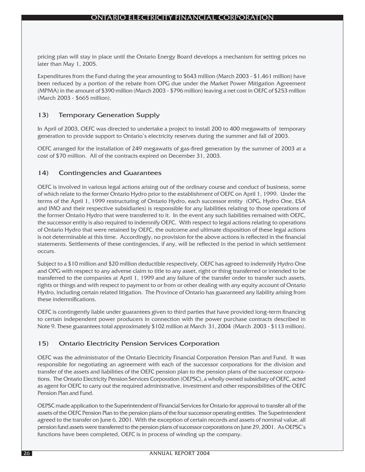pricing plan will stay in place until the Ontario Energy Board develops a mechanism for setting prices no later than May 1, 2005.

Expenditures from the Fund during the year amounting to \$643 million (March 2003 - \$1,461 million) have been reduced by a portion of the rebate from OPG due under the Market Power Mitigation Agreement (MPMA) in the amount of \$390 million (March 2003 - \$796 million) leaving a net cost in OEFC of \$253 million (March 2003 - \$665 million).

## 13) Temporary Generation Supply

In April of 2003, OEFC was directed to undertake a project to install 200 to 400 megawatts of temporary generation to provide support to Ontario's electricity reserves during the summer and fall of 2003.

OEFC arranged for the installation of 249 megawatts of gas-fired generation by the summer of 2003 at a cost of \$70 million. All of the contracts expired on December 31, 2003.

## 14) Contingencies and Guarantees

OEFC is involved in various legal actions arising out of the ordinary course and conduct of business, some of which relate to the former Ontario Hydro prior to the establishment of OEFC on April 1, 1999. Under the terms of the April 1, 1999 restructuring of Ontario Hydro, each successor entity (OPG, Hydro One, ESA and IMO and their respective subsidiaries) is responsible for any liabilities relating to those operations of the former Ontario Hydro that were transferred to it. In the event any such liabilities remained with OEFC, the successor entity is also required to indemnify OEFC. With respect to legal actions relating to operations of Ontario Hydro that were retained by OEFC, the outcome and ultimate disposition of these legal actions is not determinable at this time. Accordingly, no provision for the above actions is reflected in the financial statements. Settlements of these contingencies, if any, will be reflected in the period in which settlement occurs.

Subject to a \$10 million and \$20 million deductible respectively, OEFC has agreed to indemnify Hydro One and OPG with respect to any adverse claim to title to any asset, right or thing transferred or intended to be transferred to the companies at April 1, 1999 and any failure of the transfer order to transfer such assets, rights or things and with respect to payment to or from or other dealing with any equity account of Ontario Hydro, including certain related litigation. The Province of Ontario has guaranteed any liability arising from these indemnifications.

OEFC is contingently liable under guarantees given to third parties that have provided long-term financing to certain independent power producers in connection with the power purchase contracts described in Note 9. These guarantees total approximately \$102 million at March 31, 2004 (March 2003 - \$113 million).

## 15) Ontario Electricity Pension Services Corporation

OEFC was the administrator of the Ontario Electricity Financial Corporation Pension Plan and Fund. It was responsible for negotiating an agreement with each of the successor corporations for the division and transfer of the assets and liabilities of the OEFC pension plan to the pension plans of the successor corporations. The Ontario Electricity Pension Services Corporation (OEPSC), a wholly owned subsidiary of OEFC, acted as agent for OEFC to carry out the required administrative, investment and other responsibilities of the OEFC Pension Plan and Fund.

OEPSC made application to the Superintendent of Financial Services for Ontario for approval to transfer all of the assets of the OEFC Pension Plan to the pension plans of the four successor operating entities. The Superintendent agreed to the transfer on June 6, 2001. With the exception of certain records and assets of nominal value, all pension fund assets were transferred to the pension plans of successor corporations on June 29, 2001. As OEPSC's functions have been completed, OEFC is in process of winding up the company.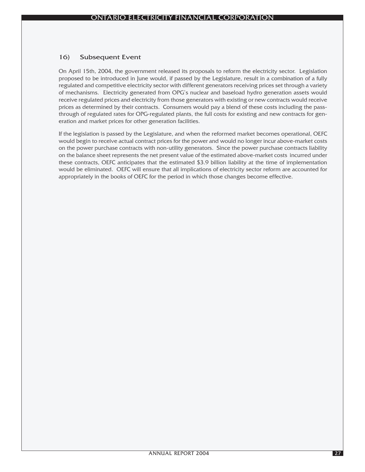## 16) Subsequent Event

On April 15th, 2004, the government released its proposals to reform the electricity sector. Legislation proposed to be introduced in June would, if passed by the Legislature, result in a combination of a fully regulated and competitive electricity sector with different generators receiving prices set through a variety of mechanisms. Electricity generated from OPG's nuclear and baseload hydro generation assets would receive regulated prices and electricity from those generators with existing or new contracts would receive prices as determined by their contracts. Consumers would pay a blend of these costs including the passthrough of regulated rates for OPG-regulated plants, the full costs for existing and new contracts for generation and market prices for other generation facilities.

If the legislation is passed by the Legislature, and when the reformed market becomes operational, OEFC would begin to receive actual contract prices for the power and would no longer incur above-market costs on the power purchase contracts with non-utility generators. Since the power purchase contracts liability on the balance sheet represents the net present value of the estimated above-market costs incurred under these contracts, OEFC anticipates that the estimated \$3.9 billion liability at the time of implementation would be eliminated. OEFC will ensure that all implications of electricity sector reform are accounted for appropriately in the books of OEFC for the period in which those changes become effective.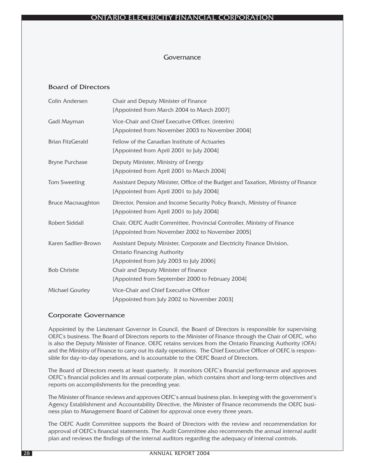## Governance

## Board of Directors

| <b>Colin Andersen</b>    | Chair and Deputy Minister of Finance<br>[Appointed from March 2004 to March 2007]                                                                       |
|--------------------------|---------------------------------------------------------------------------------------------------------------------------------------------------------|
| Gadi Mayman              | Vice-Chair and Chief Executive Officer, (interim)<br>[Appointed from November 2003 to November 2004]                                                    |
| <b>Brian FitzGerald</b>  | Fellow of the Canadian Institute of Actuaries<br>[Appointed from April 2001 to July 2004]                                                               |
| <b>Bryne Purchase</b>    | Deputy Minister, Ministry of Energy<br>[Appointed from April 2001 to March 2004]                                                                        |
| <b>Tom Sweeting</b>      | Assistant Deputy Minister, Office of the Budget and Taxation, Ministry of Finance<br>[Appointed from April 2001 to July 2004]                           |
| <b>Bruce Macnaughton</b> | Director, Pension and Income Security Policy Branch, Ministry of Finance<br>[Appointed from April 2001 to July 2004]                                    |
| <b>Robert Siddall</b>    | Chair, OEFC Audit Committee, Provincial Controller, Ministry of Finance<br>[Appointed from November 2002 to November 2005]                              |
| Karen Sadlier-Brown      | Assistant Deputy Minister, Corporate and Electricity Finance Division,<br><b>Ontario Financing Authority</b><br>[Appointed from July 2003 to July 2006] |
| <b>Bob Christie</b>      | Chair and Deputy Minister of Finance<br>[Appointed from September 2000 to February 2004]                                                                |
| <b>Michael Gourley</b>   | Vice-Chair and Chief Executive Officer<br>[Appointed from July 2002 to November 2003]                                                                   |

## Corporate Governance

Appointed by the Lieutenant Governor in Council, the Board of Directors is responsible for supervising OEFC's business. The Board of Directors reports to the Minister of Finance through the Chair of OEFC, who is also the Deputy Minister of Finance. OEFC retains services from the Ontario Financing Authority (OFA) and the Ministry of Finance to carry out its daily operations. The Chief Executive Officer of OEFC is responsible for day-to-day operations, and is accountable to the OEFC Board of Directors.

The Board of Directors meets at least quarterly. It monitors OEFC's financial performance and approves OEFC's financial policies and its annual corporate plan, which contains short and long-term objectives and reports on accomplishments for the preceding year.

The Minister of Finance reviews and approves OEFC's annual business plan. In keeping with the government's Agency Establishment and Accountability Directive, the Minister of Finance recommends the OEFC business plan to Management Board of Cabinet for approval once every three years.

The OEFC Audit Committee supports the Board of Directors with the review and recommendation for approval of OEFC's financial statements. The Audit Committee also recommends the annual internal audit plan and reviews the findings of the internal auditors regarding the adequacy of internal controls.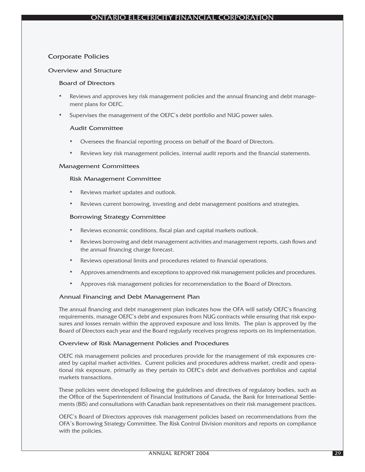## Corporate Policies

#### Overview and Structure

#### Board of Directors

- Reviews and approves key risk management policies and the annual financing and debt management plans for OEFC.
- Supervises the management of the OEFC's debt portfolio and NUG power sales.

#### Audit Committee

- Oversees the financial reporting process on behalf of the Board of Directors.
- Reviews key risk management policies, internal audit reports and the financial statements.

#### Management Committees

#### Risk Management Committee

- Reviews market updates and outlook.
- Reviews current borrowing, investing and debt management positions and strategies.

#### Borrowing Strategy Committee

- Reviews economic conditions, fiscal plan and capital markets outlook.
- Reviews borrowing and debt management activities and management reports, cash flows and the annual financing charge forecast.
- Reviews operational limits and procedures related to financial operations.
- Approves amendments and exceptions to approved risk management policies and procedures.
- Approves risk management policies for recommendation to the Board of Directors.

## Annual Financing and Debt Management Plan

The annual financing and debt management plan indicates how the OFA will satisfy OEFC's financing requirements, manage OEFC's debt and exposures from NUG contracts while ensuring that risk exposures and losses remain within the approved exposure and loss limits. The plan is approved by the Board of Directors each year and the Board regularly receives progress reports on its implementation.

#### Overview of Risk Management Policies and Procedures

OEFC risk management policies and procedures provide for the management of risk exposures created by capital market activities. Current policies and procedures address market, credit and operational risk exposure, primarily as they pertain to OEFC's debt and derivatives portfolios and capital markets transactions.

These policies were developed following the guidelines and directives of regulatory bodies, such as the Office of the Superintendent of Financial Institutions of Canada, the Bank for International Settlements (BIS) and consultations with Canadian bank representatives on their risk management practices.

OEFC's Board of Directors approves risk management policies based on recommendations from the OFA's Borrowing Strategy Committee. The Risk Control Division monitors and reports on compliance with the policies.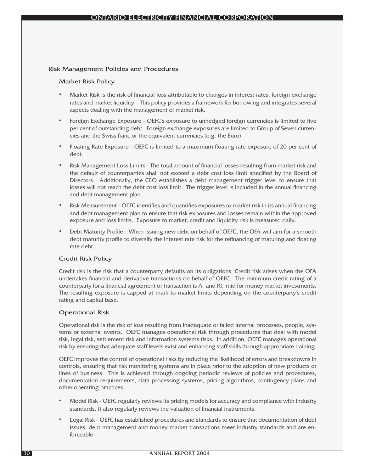#### Risk Management Policies and Procedures

#### Market Risk Policy

- Market Risk is the risk of financial loss attributable to changes in interest rates, foreign exchange rates and market liquidity. This policy provides a framework for borrowing and integrates several aspects dealing with the management of market risk.
- Foreign Exchange Exposure OEFC's exposure to unhedged foreign currencies is limited to five per cent of outstanding debt. Foreign exchange exposures are limited to Group of Seven currencies and the Swiss franc or the equivalent currencies (e.g. the Euro).
- Floating Rate Exposure OEFC is limited to a maximum floating rate exposure of 20 per cent of debt.
- Risk Management Loss Limits The total amount of financial losses resulting from market risk and the default of counterparties shall not exceed a debt cost loss limit specified by the Board of Directors. Additionally, the CEO establishes a debt management trigger level to ensure that losses will not reach the debt cost loss limit. The trigger level is included in the annual financing and debt management plan.
- Risk Measurement OEFC identifies and quantifies exposures to market risk in its annual financing and debt management plan to ensure that risk exposures and losses remain within the approved exposure and loss limits. Exposure to market, credit and liquidity risk is measured daily.
- Debt Maturity Profile When issuing new debt on behalf of OEFC, the OFA will aim for a smooth debt maturity profile to diversify the interest rate risk for the refinancing of maturing and floating rate debt.

## Credit Risk Policy

Credit risk is the risk that a counterparty defaults on its obligations. Credit risk arises when the OFA undertakes financial and derivative transactions on behalf of OEFC. The minimum credit rating of a counterparty for a financial agreement or transaction is A- and R1-mid for money market investments. The resulting exposure is capped at mark-to-market limits depending on the counterparty's credit rating and capital base.

#### Operational Risk

Operational risk is the risk of loss resulting from inadequate or failed internal processes, people, systems or external events. OEFC manages operational risk through procedures that deal with model risk, legal risk, settlement risk and information systems risks. In addition, OEFC manages operational risk by ensuring that adequate staff levels exist and enhancing staff skills through appropriate training.

OEFC improves the control of operational risks by reducing the likelihood of errors and breakdowns in controls, ensuring that risk monitoring systems are in place prior to the adoption of new products or lines of business. This is achieved through ongoing periodic reviews of policies and procedures, documentation requirements, data processing systems, pricing algorithms, contingency plans and other operating practices.

- Model Risk OEFC regularly reviews its pricing models for accuracy and compliance with industry standards. It also regularly reviews the valuation of financial instruments.
- Legal Risk OEFC has established procedures and standards to ensure that documentation of debt issues, debt management and money market transactions meet industry standards and are enforceable.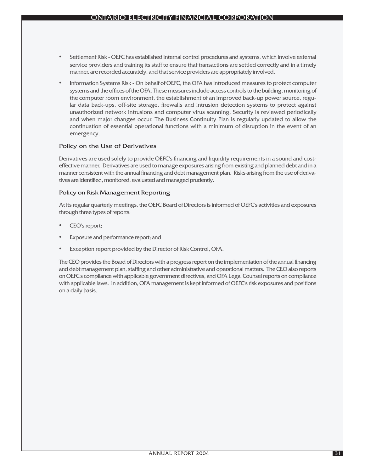- Settlement Risk OEFC has established internal control procedures and systems, which involve external service providers and training its staff to ensure that transactions are settled correctly and in a timely manner, are recorded accurately, and that service providers are appropriately involved.
- Information Systems Risk On behalf of OEFC, the OFA has introduced measures to protect computer systems and the offices of the OFA. These measures include access controls to the building, monitoring of the computer room environment, the establishment of an improved back-up power source, regular data back-ups, off-site storage, firewalls and intrusion detection systems to protect against unauthorized network intrusions and computer virus scanning. Security is reviewed periodically and when major changes occur. The Business Continuity Plan is regularly updated to allow the continuation of essential operational functions with a minimum of disruption in the event of an emergency.

## Policy on the Use of Derivatives

Derivatives are used solely to provide OEFC's financing and liquidity requirements in a sound and costeffective manner. Derivatives are used to manage exposures arising from existing and planned debt and in a manner consistent with the annual financing and debt management plan. Risks arising from the use of derivatives are identified, monitored, evaluated and managed prudently.

#### Policy on Risk Management Reporting

At its regular quarterly meetings, the OEFC Board of Directors is informed of OEFC's activities and exposures through three types of reports:

- CEO's report;
- Exposure and performance report; and
- Exception report provided by the Director of Risk Control, OFA.

The CEO provides the Board of Directors with a progress report on the implementation of the annual financing and debt management plan, staffing and other administrative and operational matters. The CEO also reports on OEFC's compliance with applicable government directives, and OFA Legal Counsel reports on compliance with applicable laws. In addition, OFA management is kept informed of OEFC's risk exposures and positions on a daily basis.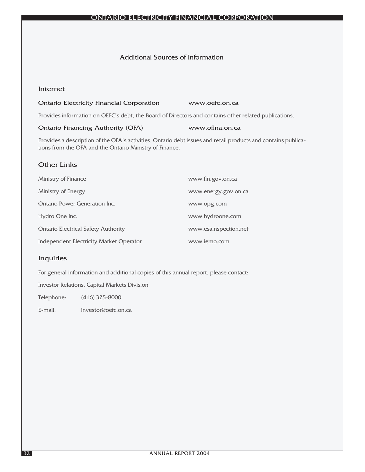## ONTARIO ELECTRICITY FINANCIAL CORPORATION

## Additional Sources of Information

## Internet

#### Ontario Electricity Financial Corporation www.oefc.on.ca

Provides information on OEFC's debt, the Board of Directors and contains other related publications.

#### Ontario Financing Authority (OFA) www.ofina.on.ca

Provides a description of the OFA's activities, Ontario debt issues and retail products and contains publications from the OFA and the Ontario Ministry of Finance.

## Other Links

| Ministry of Finance                        | www.fin.gov.on.ca     |
|--------------------------------------------|-----------------------|
| Ministry of Energy                         | www.energy.gov.on.ca  |
| <b>Ontario Power Generation Inc.</b>       | www.opg.com           |
| Hydro One Inc.                             | www.hydroone.com      |
| <b>Ontario Electrical Safety Authority</b> | www.esainspection.net |
| Independent Electricity Market Operator    | www.jemo.com          |

## Inquiries

For general information and additional copies of this annual report, please contact:

Investor Relations, Capital Markets Division

Telephone: (416) 325-8000

E-mail: investor@oefc.on.ca